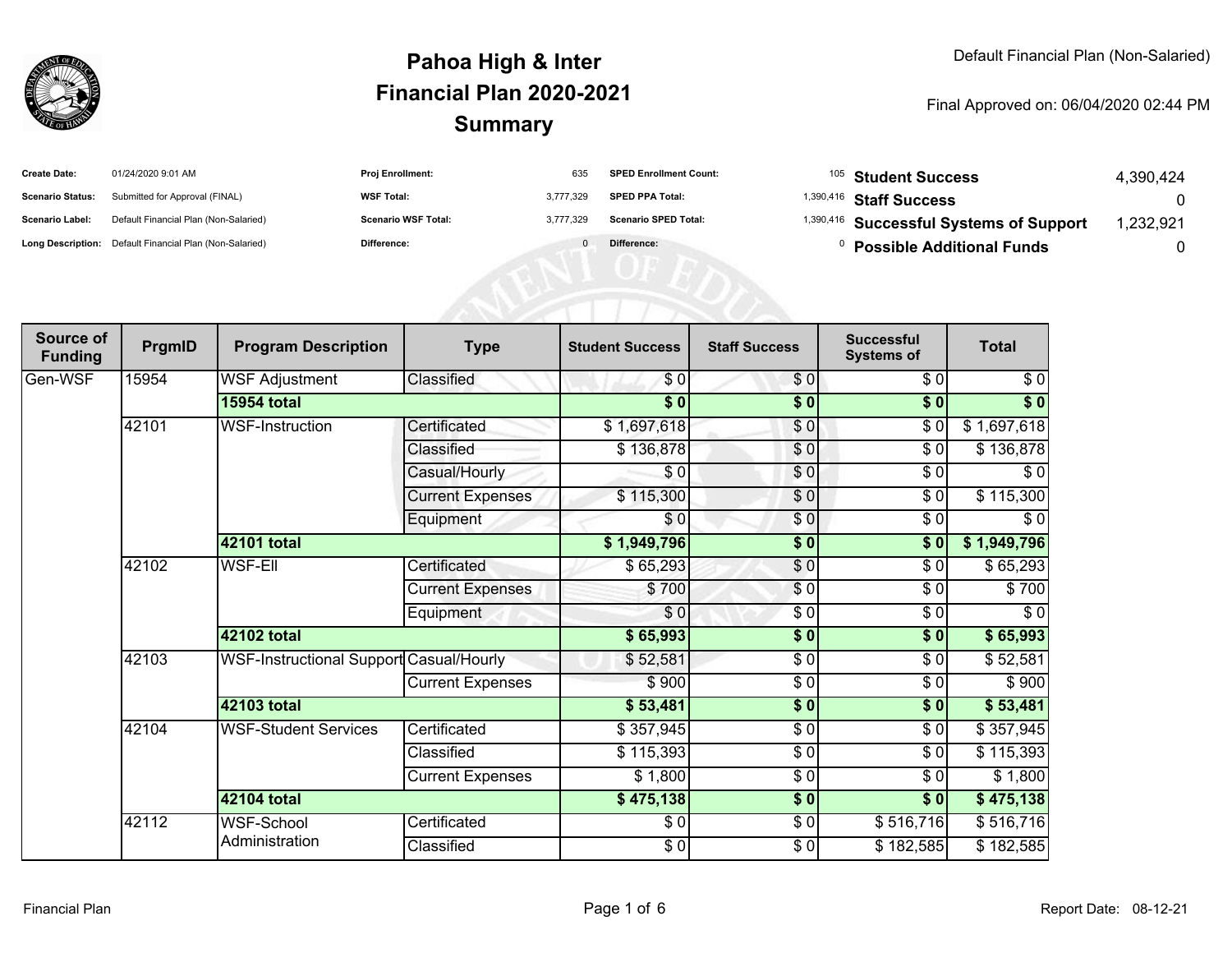

| <b>Create Date:</b>     | 01/24/2020 9:01 AM                                      | <b>Proj Enrollment:</b>    | 635       | <b>SPED Enrollment Count:</b> | <sup>105</sup> Student Success                     | 4.390.424 |
|-------------------------|---------------------------------------------------------|----------------------------|-----------|-------------------------------|----------------------------------------------------|-----------|
| <b>Scenario Status:</b> | Submitted for Approval (FINAL)                          | <b>WSF Total:</b>          | 3.777.329 | <b>SPED PPA Total:</b>        | <sup>1,390,416</sup> Staff Success                 |           |
| <b>Scenario Label:</b>  | Default Financial Plan (Non-Salaried)                   | <b>Scenario WSF Total:</b> | 3.777.329 | <b>Scenario SPED Total:</b>   | <sup>1,390,416</sup> Successful Systems of Support | 1,232,921 |
|                         | Long Description: Default Financial Plan (Non-Salaried) | <b>Difference:</b>         |           | Difference:                   | <b>Possible Additional Funds</b>                   |           |

| Source of<br><b>Funding</b> | PrgmID | <b>Program Description</b>              | <b>Type</b>               | <b>Student Success</b> | <b>Staff Success</b> | <b>Successful</b><br><b>Systems of</b> | <b>Total</b> |
|-----------------------------|--------|-----------------------------------------|---------------------------|------------------------|----------------------|----------------------------------------|--------------|
| Gen-WSF                     | 15954  | <b>WSF Adjustment</b>                   | Classified                | \$0                    | \$0                  | \$0                                    | \$0          |
|                             |        | <b>15954 total</b>                      |                           | $\overline{\$0}$       | $\sqrt{6}$           | $\sqrt{6}$                             | $\sqrt[6]{}$ |
|                             | 42101  | <b>WSF-Instruction</b>                  | Certificated              | \$1,697,618            | \$0                  | $\sqrt{6}$                             | \$1,697,618  |
|                             |        |                                         | Classified                | \$136,878              | \$0                  | $\sqrt{6}$                             | \$136,878    |
|                             |        |                                         | Casual/Hourly             | $\frac{3}{6}$          | \$0                  | \$0                                    | $\sqrt{6}$   |
|                             |        |                                         | <b>Current Expenses</b>   | \$115,300              | \$0                  | \$0                                    | \$115,300    |
|                             |        |                                         | Equipment                 | \$0                    | \$0                  | $\sqrt{6}$                             | \$0          |
|                             |        | 42101 total                             | \$1,949,796<br>$\sqrt{6}$ |                        | $\sqrt{6}$           | \$1,949,796                            |              |
|                             | 42102  | <b>WSF-EII</b>                          | Certificated              | \$65,293               | $\frac{6}{3}$        | $\sqrt{6}$                             | \$65,293     |
|                             |        |                                         | <b>Current Expenses</b>   | \$700                  | \$0                  | \$0                                    | \$700        |
|                             |        |                                         | Equipment                 | \$0                    | \$0                  | \$0                                    | \$0          |
|                             |        | 42102 total                             |                           | \$65,993               | $\sqrt{6}$           | $\overline{\$0}$                       | \$65,993     |
|                             | 42103  | WSF-Instructional Support Casual/Hourly |                           | \$52,581               | \$0                  | \$0                                    | \$52,581     |
|                             |        |                                         | <b>Current Expenses</b>   | \$900                  | $\sqrt{6}$           | \$0                                    | \$900        |
|                             |        | 42103 total                             |                           | \$53,481               | \$0                  | \$0                                    | \$53,481     |
|                             | 42104  | <b>WSF-Student Services</b>             | Certificated              | \$357,945              | \$0                  | \$0                                    | \$357,945    |
|                             |        |                                         | Classified                | \$115,393              | $\frac{3}{2}$        | \$0                                    | \$115,393    |
|                             |        |                                         | <b>Current Expenses</b>   | \$1,800                | \$0                  | \$0                                    | \$1,800      |
|                             |        | 42104 total                             |                           | \$475,138              | \$0                  | \$0                                    | \$475,138    |
|                             | 42112  | <b>WSF-School</b>                       | Certificated              | \$0                    | $\frac{3}{2}$        | \$516,716                              | \$516,716    |
|                             |        | Administration                          | Classified                | $\frac{6}{6}$          | $\frac{6}{6}$        | \$182,585                              | \$182,585    |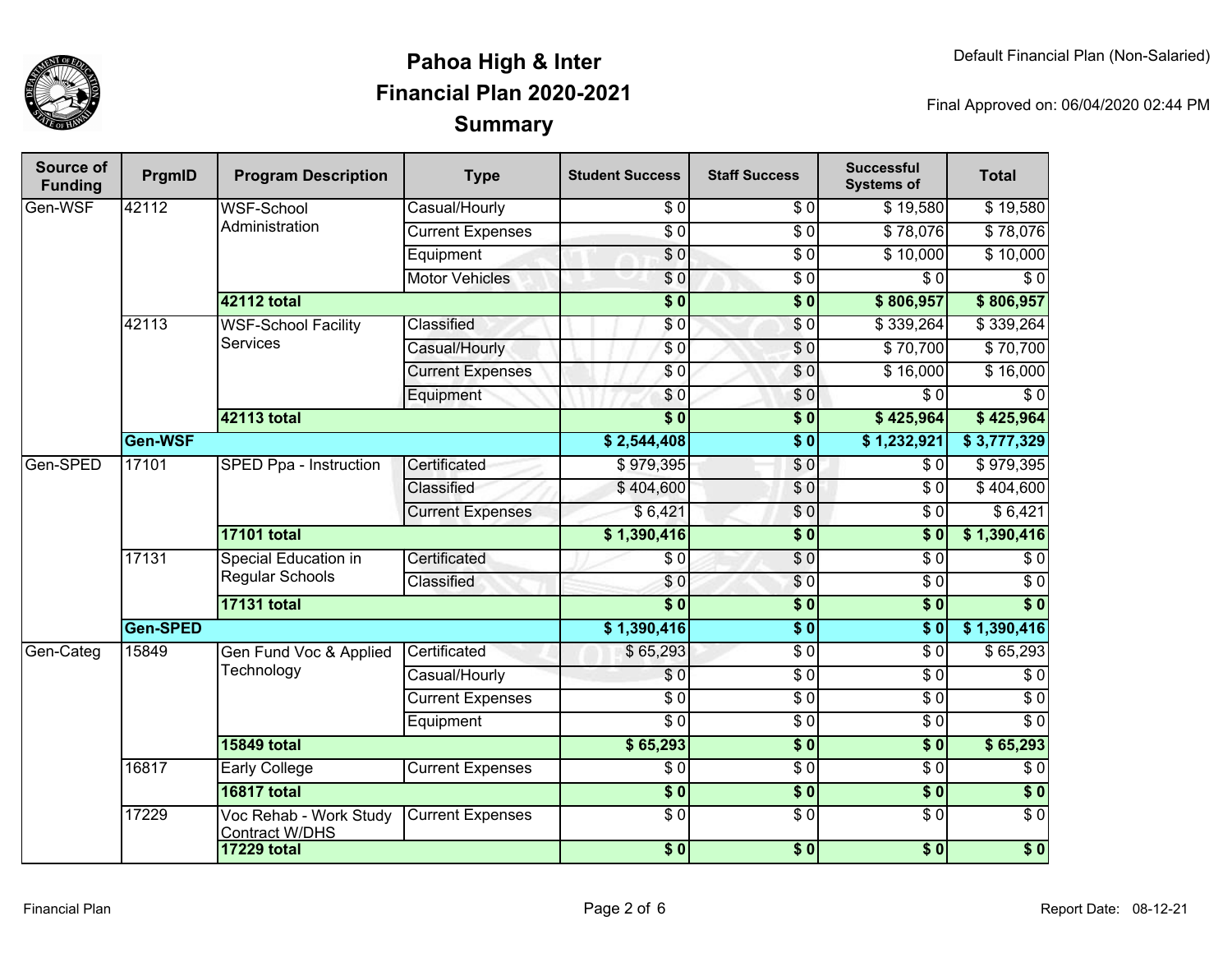

| <b>Source of</b><br><b>Funding</b> | PrgmID   | <b>Program Description</b>                      | <b>Type</b>             | <b>Student Success</b> | <b>Staff Success</b> | <b>Successful</b><br><b>Systems of</b> | <b>Total</b>     |          |
|------------------------------------|----------|-------------------------------------------------|-------------------------|------------------------|----------------------|----------------------------------------|------------------|----------|
| Gen-WSF                            | 42112    | <b>WSF-School</b>                               | Casual/Hourly           | \$0                    | \$0                  | \$19,580                               | \$19,580         |          |
|                                    |          | Administration                                  | <b>Current Expenses</b> | $\overline{\$0}$       | $\overline{50}$      | \$78,076                               | \$78,076         |          |
|                                    |          |                                                 | Equipment               | $\overline{\$0}$       | $\overline{\$0}$     | \$10,000                               | \$10,000         |          |
|                                    |          |                                                 | <b>Motor Vehicles</b>   | $\overline{S}0$        | $\overline{30}$      | $\overline{30}$                        | $\overline{\$0}$ |          |
|                                    |          | 42112 total                                     |                         | $\overline{\$0}$       | $\overline{\$0}$     | \$806,957                              | \$806,957        |          |
|                                    | 42113    | <b>WSF-School Facility</b>                      | Classified              | $\overline{\$0}$       | \$0                  | \$339,264                              | \$339,264        |          |
|                                    |          | <b>Services</b>                                 | Casual/Hourly           | $\sqrt{6}$             | $\sqrt{6}$           | \$70,700                               | \$70,700         |          |
|                                    |          |                                                 | <b>Current Expenses</b> | \$0                    | $\overline{S}0$      | \$16,000                               | \$16,000         |          |
|                                    |          |                                                 | Equipment               | $\sqrt{6}$             | \$0                  | $\overline{\$0}$                       | $\sqrt{6}$       |          |
|                                    |          | 42113 total                                     |                         | $\overline{\$0}$       | $\overline{\$0}$     | \$425,964                              | \$425,964        |          |
|                                    | Gen-WSF  |                                                 |                         | \$2,544,408            | $\overline{\$0}$     | \$1,232,921                            | \$3,777,329      |          |
| Gen-SPED                           | 17101    | <b>SPED Ppa - Instruction</b>                   | Certificated            | \$979,395              | \$0                  | \$0                                    | \$979,395        |          |
|                                    |          |                                                 | Classified              | \$404,600              | $\frac{1}{\sqrt{2}}$ | $\overline{30}$                        | \$404,600        |          |
|                                    |          |                                                 | <b>Current Expenses</b> | \$6,421                | \$0                  | $\overline{\$0}$                       | \$6,421          |          |
|                                    |          | <b>17101 total</b>                              |                         | \$1,390,416            | $\overline{\$0}$     | \$0                                    | \$1,390,416      |          |
|                                    | 17131    | Special Education in<br><b>Regular Schools</b>  | Certificated            | $\overline{\$0}$       | $\overline{S}0$      | $\overline{\$0}$                       | $\sqrt{6}$       |          |
|                                    |          |                                                 | Classified              | \$0                    | $\overline{S}0$      | $\sqrt{6}$                             | $\overline{\$0}$ |          |
|                                    |          | <b>17131 total</b>                              |                         | $\overline{\$0}$       | $\overline{\$0}$     | $\overline{\$0}$                       | $\overline{\$0}$ |          |
|                                    | Gen-SPED |                                                 | \$1,390,416             | $\overline{\$0}$       | $\overline{\$0}$     | \$1,390,416                            |                  |          |
| Gen-Categ                          | 15849    |                                                 | Gen Fund Voc & Applied  | Certificated           | \$65,293             | $\overline{50}$                        | $\overline{\$0}$ | \$65,293 |
|                                    |          | Technology                                      | Casual/Hourly           | $\overline{S}0$        | $\overline{50}$      | $\overline{S}0$                        | $\overline{\$0}$ |          |
|                                    |          |                                                 | <b>Current Expenses</b> | $\overline{\$0}$       | $\sqrt{6}$           | $\sqrt{6}$                             | $\sqrt{6}$       |          |
|                                    |          |                                                 | Equipment               | $\overline{30}$        | $\overline{30}$      | $\sqrt{6}$                             | $\overline{\$0}$ |          |
|                                    |          | <b>15849 total</b>                              |                         | \$65,293               | $\sqrt{6}$           | $\overline{\$0}$                       | \$65,293         |          |
|                                    | 16817    | <b>Early College</b>                            | <b>Current Expenses</b> | $\overline{\$0}$       | $\overline{50}$      | $\overline{30}$                        | $\sqrt{6}$       |          |
|                                    |          | <b>16817 total</b>                              |                         | $\overline{\$0}$       | $\overline{\$0}$     | $\overline{\$0}$                       | $\overline{\$0}$ |          |
|                                    | 17229    | Voc Rehab - Work Study<br><b>Contract W/DHS</b> | <b>Current Expenses</b> | $\overline{30}$        | $\overline{50}$      | $\overline{30}$                        | $\overline{\$0}$ |          |
|                                    |          | <b>17229 total</b>                              |                         | $\overline{\$0}$       | $\overline{\$0}$     | $\overline{\$0}$                       | $\overline{\$0}$ |          |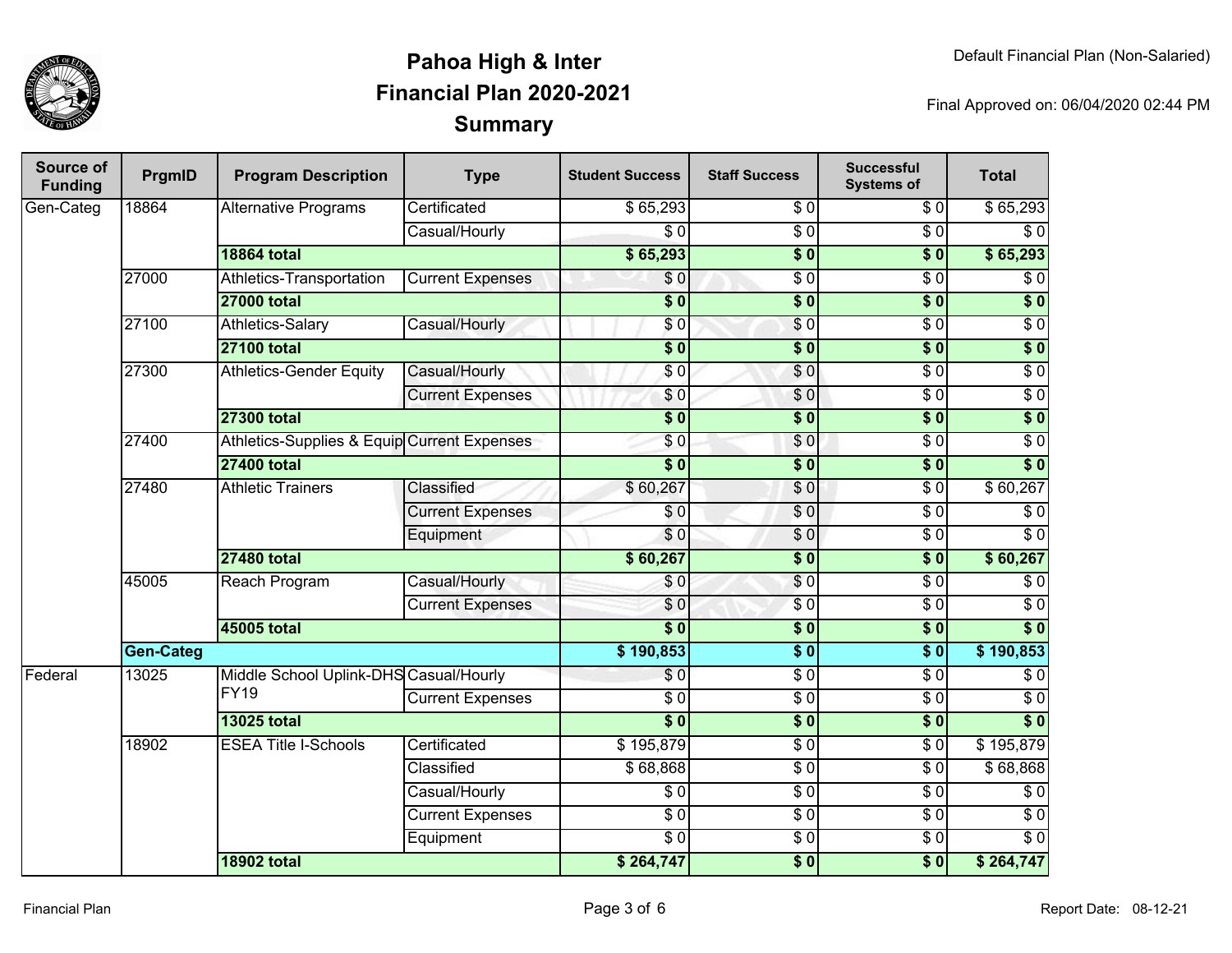

| Source of<br><b>Funding</b> | PrgmID    | <b>Program Description</b>                  | <b>Type</b>                            | <b>Student Success</b>               | <b>Staff Success</b>   | <b>Successful</b><br><b>Systems of</b> | <b>Total</b>     |            |
|-----------------------------|-----------|---------------------------------------------|----------------------------------------|--------------------------------------|------------------------|----------------------------------------|------------------|------------|
| Gen-Categ                   | 18864     | <b>Alternative Programs</b>                 | Certificated                           | \$65,293                             | \$0                    | \$0                                    | \$65,293         |            |
|                             |           |                                             | Casual/Hourly                          | $\overline{\$0}$                     | $\overline{\$0}$       | $\overline{\$0}$                       | $\overline{\$0}$ |            |
|                             |           | <b>18864 total</b>                          |                                        | \$65,293                             | $\overline{\$0}$       | $\overline{\$0}$                       | \$65,293         |            |
|                             | 27000     | Athletics-Transportation                    | <b>Current Expenses</b>                | $\overline{\$0}$                     | $\overline{\$0}$       | $\overline{\$0}$                       | $\overline{\$0}$ |            |
|                             |           | <b>27000 total</b>                          |                                        | $\overline{\$0}$                     | $\overline{\$0}$       | $\overline{\$0}$                       | $\overline{\$0}$ |            |
|                             | 27100     | <b>Athletics-Salary</b>                     | Casual/Hourly                          | \$0                                  | $\sqrt{0}$             | $\sqrt{6}$                             | $\overline{30}$  |            |
|                             |           | <b>27100 total</b>                          |                                        | $\overline{\$0}$                     | $\overline{\$0}$       | $\overline{\$0}$                       | $\overline{\$0}$ |            |
|                             | 27300     | <b>Athletics-Gender Equity</b>              | Casual/Hourly                          | \$0                                  | $\sqrt{0}$             | $\overline{50}$                        | $\overline{30}$  |            |
|                             |           |                                             | <b>Current Expenses</b>                | \$0                                  | \$0                    | $\overline{50}$                        | $\overline{30}$  |            |
|                             |           | <b>27300 total</b>                          |                                        | $\overline{\$0}$                     | $\overline{\$0}$       | $\overline{\$0}$                       | $\overline{\$0}$ |            |
|                             | 27400     | Athletics-Supplies & Equip Current Expenses |                                        | \$0                                  | \$0                    | $\overline{\$0}$                       | $\overline{30}$  |            |
|                             |           | <b>27400 total</b>                          |                                        | $\overline{\$0}$<br>$\overline{\$0}$ |                        | $\overline{\$0}$                       | $\overline{\$0}$ |            |
|                             | 27480     | <b>Athletic Trainers</b>                    | Classified                             | \$60,267                             | \$0                    | $\overline{50}$                        | \$60,267         |            |
|                             |           |                                             | <b>Current Expenses</b>                | $\overline{\$0}$                     | $\overline{\$0}$       | $\overline{\$0}$                       | $\overline{\$0}$ |            |
|                             |           |                                             | Equipment                              | \$0                                  | \$0                    | \$0                                    | $\overline{\$0}$ |            |
|                             |           | <b>27480 total</b>                          |                                        | \$60,267                             | $\overline{\$0}$       | $\overline{\$0}$                       | \$60,267         |            |
|                             | 45005     | Reach Program                               | Casual/Hourly                          | \$0                                  | \$0                    | $\overline{\$0}$                       | \$0              |            |
|                             |           |                                             | <b>Current Expenses</b>                | \$0                                  | $\overline{\$0}$       | $\overline{\$0}$                       | $\overline{\$0}$ |            |
|                             |           | 45005 total                                 |                                        | $\overline{\bullet}$                 | $\overline{\$0}$       | $\overline{\$0}$                       | $\overline{\$0}$ |            |
|                             | Gen-Categ |                                             |                                        | \$190,853                            | $\overline{\bullet}$ 0 | $\overline{\$0}$                       | \$190,853        |            |
| Federal                     | 13025     |                                             | Middle School Uplink-DHS Casual/Hourly |                                      | $\sqrt{50}$            | $\overline{\$0}$                       | $\overline{\$0}$ | $\sqrt{6}$ |
|                             |           | <b>FY19</b>                                 | <b>Current Expenses</b>                | $\overline{\$0}$                     | $\sqrt{6}$             | $\overline{\$0}$                       | $\overline{\$0}$ |            |
|                             |           | <b>13025 total</b>                          |                                        | $\overline{\$0}$                     | $\overline{\$0}$       | $\overline{\$0}$                       | $\overline{\$0}$ |            |
|                             | 18902     | <b>ESEA Title I-Schools</b>                 | Certificated                           | \$195,879                            | $\sqrt{6}$             | $\overline{\$0}$                       | \$195,879        |            |
|                             |           |                                             | Classified                             | \$68,868                             | $\overline{\$0}$       | $\overline{50}$                        | \$68,868         |            |
|                             |           |                                             | Casual/Hourly                          | $\sqrt{6}$                           | $\overline{\$0}$       | $\overline{\$0}$                       | $\sqrt{6}$       |            |
|                             |           |                                             | <b>Current Expenses</b>                | $\overline{\$0}$                     | $\overline{\$0}$       | $\overline{\$0}$                       | $\overline{\$0}$ |            |
|                             |           |                                             | Equipment                              | $\overline{\$0}$                     | $\overline{\$0}$       | $\overline{\$0}$                       | $\overline{\$0}$ |            |
|                             |           | <b>18902 total</b>                          |                                        | \$264,747                            | $\overline{\$0}$       | $\overline{\$0}$                       | \$264,747        |            |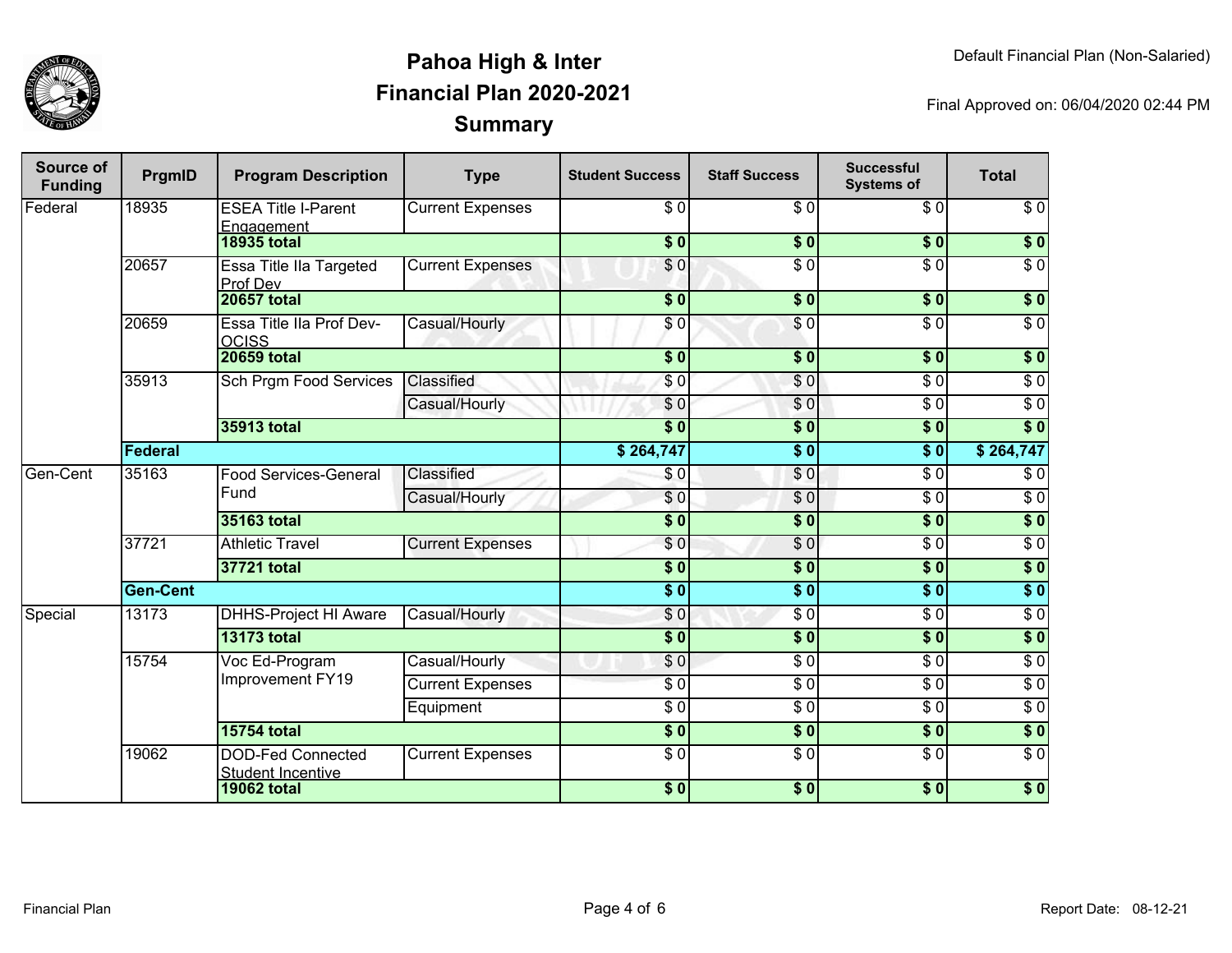

| Source of<br><b>Funding</b> | PrgmID          | <b>Program Description</b>                           | <b>Type</b>             | <b>Student Success</b> | <b>Staff Success</b> | <b>Successful</b><br><b>Systems of</b> | <b>Total</b>     |
|-----------------------------|-----------------|------------------------------------------------------|-------------------------|------------------------|----------------------|----------------------------------------|------------------|
| Federal                     | 18935           | <b>ESEA Title I-Parent</b><br>Engagement             | <b>Current Expenses</b> | \$0                    | \$0                  | $\overline{\$0}$                       | $\overline{\$0}$ |
|                             |                 | <b>18935 total</b>                                   |                         | \$0]                   | \$0                  | \$0                                    | $\sqrt{6}$       |
|                             | 20657           | Essa Title IIa Targeted<br>Prof Dev                  | <b>Current Expenses</b> | \$0                    | $\overline{\$0}$     | $\overline{\$0}$                       | $\overline{\$0}$ |
|                             |                 | <b>20657 total</b>                                   |                         | $\overline{\$0}$       | \$0                  | \$0                                    | \$0              |
|                             | 20659           | Essa Title IIa Prof Dev-<br><b>OCISS</b>             | Casual/Hourly           | \$0                    | $\sqrt{6}$           | $\overline{\$0}$                       | $\sqrt{6}$       |
|                             |                 | <b>20659 total</b>                                   |                         | $\overline{\$0}$       | $\overline{\$0}$     | $\overline{\$0}$                       | $\overline{\$0}$ |
|                             | 35913           | <b>Sch Prgm Food Services</b>                        | Classified              | \$0                    | \$0                  | $\overline{\$0}$                       | $\overline{\$0}$ |
|                             |                 |                                                      | Casual/Hourly           | \$0                    | $\overline{\$0}$     | $\overline{\$0}$                       | $\overline{\$0}$ |
|                             |                 | 35913 total                                          |                         | $\overline{\$0}$       | $\overline{\$0}$     | $\overline{\$0}$                       | $\overline{\$0}$ |
|                             | Federal         |                                                      |                         | \$264,747              | $\overline{\$0}$     | $\overline{\bullet}$                   | \$264,747        |
| Gen-Cent                    | 35163           | <b>Food Services-General</b>                         | Classified              | $\sqrt{6}$             | $\overline{S}0$      | $\overline{\$0}$                       | $\sqrt{6}$       |
|                             |                 | Fund                                                 | Casual/Hourly           | \$0                    | $\overline{60}$      | $\overline{\$0}$                       | $\sqrt{6}$       |
|                             |                 | 35163 total                                          |                         | $\overline{\$0}$       | $\overline{\$0}$     | $\overline{\$0}$                       | $\overline{\$0}$ |
|                             | 37721           | <b>Athletic Travel</b>                               | <b>Current Expenses</b> | \$0                    | $\overline{\$0}$     | $\overline{S}0$                        | $\overline{\$0}$ |
|                             |                 | 37721 total                                          |                         | $\overline{\$0}$       | $\overline{\$0}$     | $\overline{\$0}$                       | $\overline{\$0}$ |
|                             | <b>Gen-Cent</b> |                                                      |                         | $\overline{\bullet}$   | $\overline{\$0}$     | $\overline{\$0}$                       | $\overline{\$0}$ |
| Special                     | 13173           | <b>DHHS-Project HI Aware</b>                         | Casual/Hourly           | $\overline{\$0}$       | $\sqrt{50}$          | $\sqrt{6}$                             | $\overline{60}$  |
|                             |                 | <b>13173 total</b>                                   |                         | $\overline{\$0}$       | $\overline{\$0}$     | $\overline{\$0}$                       | $\overline{\$0}$ |
|                             | 15754           | Voc Ed-Program                                       | Casual/Hourly           | \$0                    | $\sqrt{6}$           | $\overline{\$0}$                       | $\sqrt{6}$       |
|                             |                 | Improvement FY19                                     | <b>Current Expenses</b> | $\overline{\$0}$       | $\frac{3}{6}$        | $\sqrt{6}$                             | $\sqrt{6}$       |
|                             |                 |                                                      | Equipment               | $\overline{30}$        | $\overline{\$0}$     | $\overline{\$0}$                       | \$0              |
|                             |                 | <b>15754 total</b>                                   |                         | $\overline{\$0}$       | $\overline{\$0}$     | $\overline{\$0}$                       | $\overline{\$0}$ |
|                             | 19062           | <b>DOD-Fed Connected</b><br><b>Student Incentive</b> | <b>Current Expenses</b> | $\overline{\$0}$       | $\overline{S}0$      | $\overline{\$0}$                       | $\overline{\$0}$ |
|                             |                 | <b>19062 total</b>                                   |                         | \$0                    | \$0                  | \$0                                    | $\sqrt{ }$       |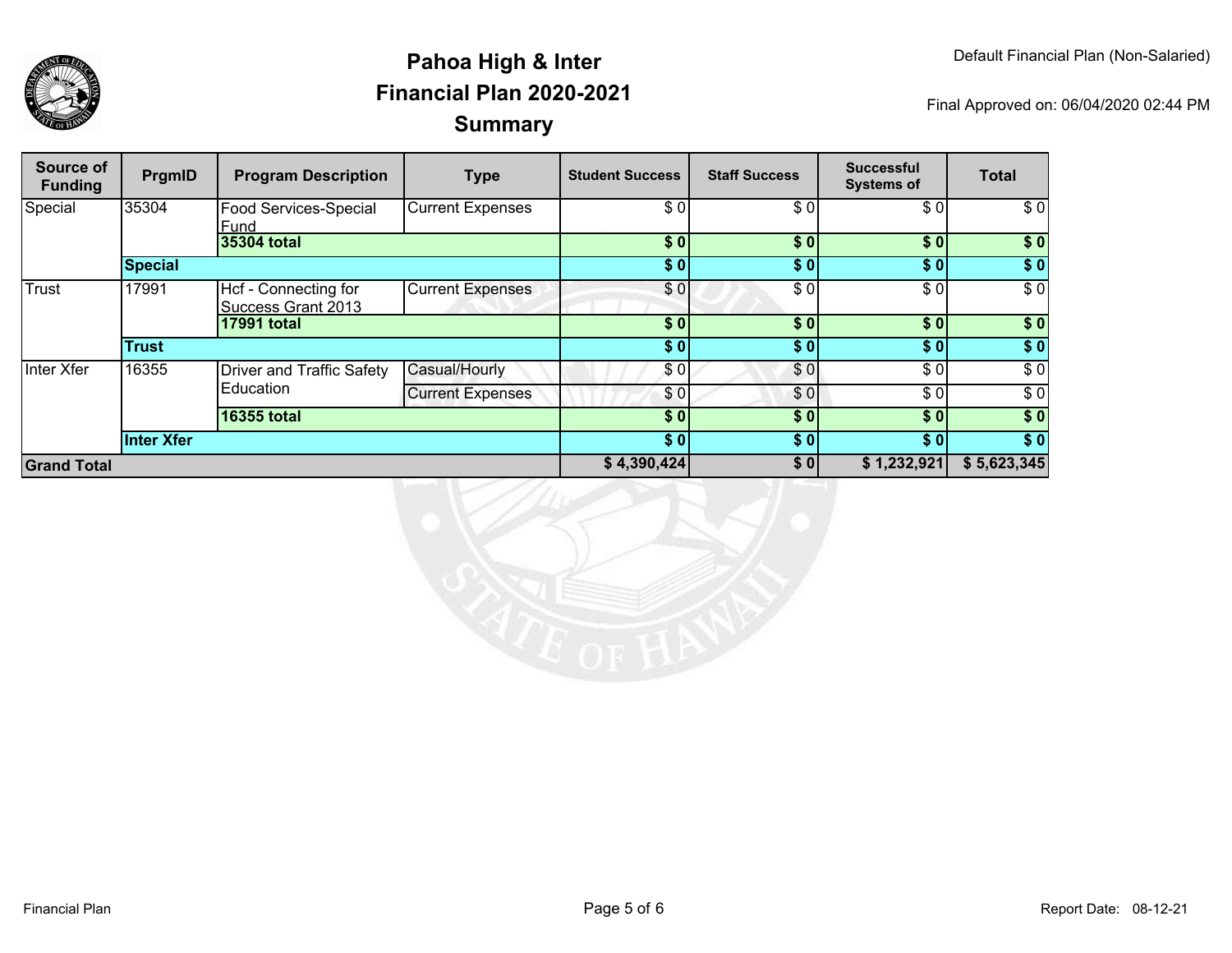

| Source of<br><b>Funding</b> | PrgmID         | <b>Program Description</b>                        | <b>Type</b>             | <b>Student Success</b> | <b>Staff Success</b> | <b>Successful</b><br><b>Systems of</b> | <b>Total</b> |
|-----------------------------|----------------|---------------------------------------------------|-------------------------|------------------------|----------------------|----------------------------------------|--------------|
| Special                     | 35304          | Food Services-Special<br>Fund                     | <b>Current Expenses</b> | \$0                    | \$0                  | \$0                                    | \$0          |
|                             |                | 35304 total                                       |                         | \$0                    | \$0                  | \$0]                                   | \$0          |
|                             | <b>Special</b> |                                                   |                         | \$0                    | \$0]                 | \$0]                                   | \$0          |
| Trust                       | 17991          | Hcf - Connecting for<br><b>Success Grant 2013</b> | <b>Current Expenses</b> | \$0                    | \$0                  | \$0                                    | \$0          |
|                             |                | <b>17991 total</b>                                |                         | \$0                    | \$0                  | \$0]                                   | $\sqrt{6}$   |
|                             | <b>Trust</b>   |                                                   |                         | \$0                    | \$0]                 | \$0]                                   | $\sqrt{6}$   |
| Inter Xfer                  | 16355          | Driver and Traffic Safety<br>Education            | Casual/Hourly           | \$0                    | \$0                  | \$0                                    | \$0          |
|                             |                |                                                   | <b>Current Expenses</b> | \$0                    | \$0                  | \$0]                                   | \$0          |
|                             |                | <b>16355 total</b>                                |                         | \$0                    | \$0                  | \$0]                                   | \$0          |
|                             | Inter Xfer     |                                                   |                         | \$0                    | \$0]                 | \$0]                                   | \$0          |
| <b>Grand Total</b>          |                |                                                   |                         | \$4,390,424            | \$0                  | \$1,232,921                            | \$5,623,345  |